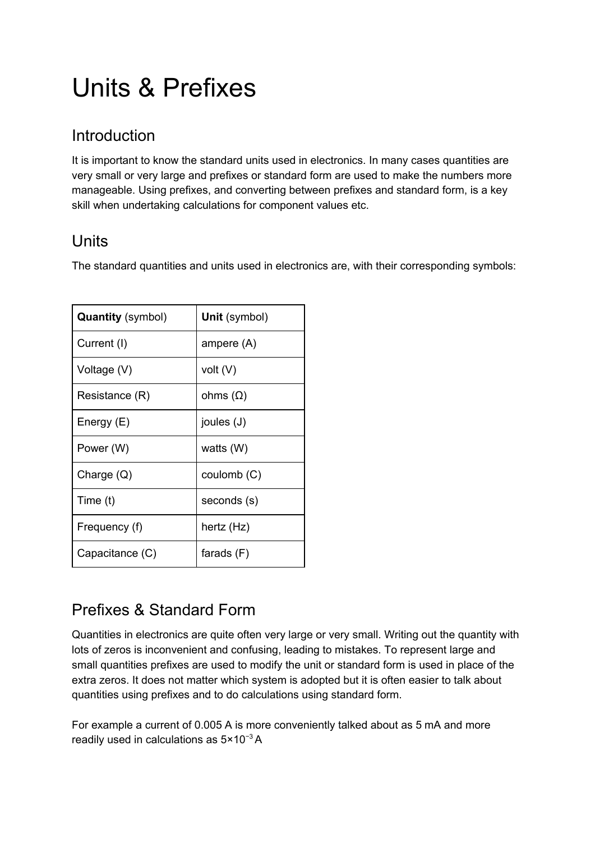# Units & Prefixes

## **Introduction**

It is important to know the standard units used in electronics. In many cases quantities are very small or very large and prefixes or standard form are used to make the numbers more manageable. Using prefixes, and converting between prefixes and standard form, is a key skill when undertaking calculations for component values etc.

#### **Units**

The standard quantities and units used in electronics are, with their corresponding symbols:

| <b>Quantity</b> (symbol) | Unit (symbol) |
|--------------------------|---------------|
| Current (I)              | ampere (A)    |
| Voltage (V)              | volt (V)      |
| Resistance (R)           | ohms (Ω)      |
| Energy (E)               | joules $(J)$  |
| Power (W)                | watts (W)     |
| Charge $(Q)$             | coulomb (C)   |
| Time (t)                 | seconds (s)   |
| Frequency (f)            | hertz (Hz)    |
| Capacitance (C)          | farads $(F)$  |

# Prefixes & Standard Form

Quantities in electronics are quite often very large or very small. Writing out the quantity with lots of zeros is inconvenient and confusing, leading to mistakes. To represent large and small quantities prefixes are used to modify the unit or standard form is used in place of the extra zeros. It does not matter which system is adopted but it is often easier to talk about quantities using prefixes and to do calculations using standard form.

For example a current of 0.005 A is more conveniently talked about as 5 mA and more readily used in calculations as  $5 \times 10^{-3}$  A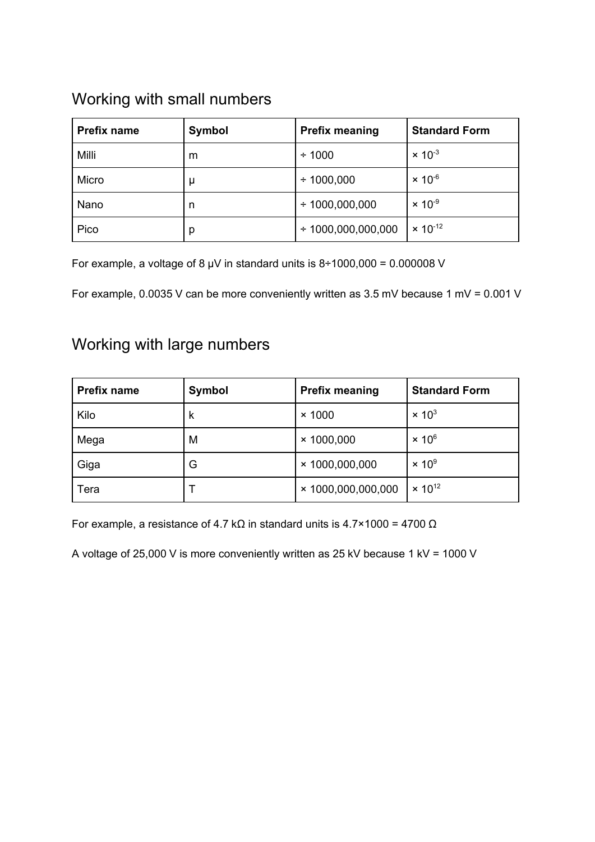# Working with small numbers

| <b>Prefix name</b> | Symbol | <b>Prefix meaning</b>   | <b>Standard Form</b> |
|--------------------|--------|-------------------------|----------------------|
| Milli              | m      | ± 1000                  | $\times 10^{-3}$     |
| Micro              | μ      | $+1000,000$             | $\times 10^{-6}$     |
| Nano               | n      | $\div$ 1000,000,000     | $\times 10^{-9}$     |
| Pico               | р      | $\div$ 1000,000,000,000 | $\times 10^{-12}$    |

For example, a voltage of 8  $\mu$ V in standard units is 8÷1000,000 = 0.000008 V

For example, 0.0035 V can be more conveniently written as 3.5 mV because 1 mV = 0.001 V

# Working with large numbers

| <b>Prefix name</b> | Symbol | <b>Prefix meaning</b> | <b>Standard Form</b> |
|--------------------|--------|-----------------------|----------------------|
| Kilo               | k      | $\times$ 1000         | $\times 10^3$        |
| Mega               | M      | $\times$ 1000,000     | $\times 10^6$        |
| Giga               | G      | $\times$ 1000,000,000 | $\times 10^9$        |
| Tera               |        | × 1000,000,000,000    | $\times 10^{12}$     |

For example, a resistance of 4.7 kΩ in standard units is  $4.7 \times 1000 = 4700 \Omega$ 

A voltage of 25,000 V is more conveniently written as 25 kV because 1 kV = 1000 V